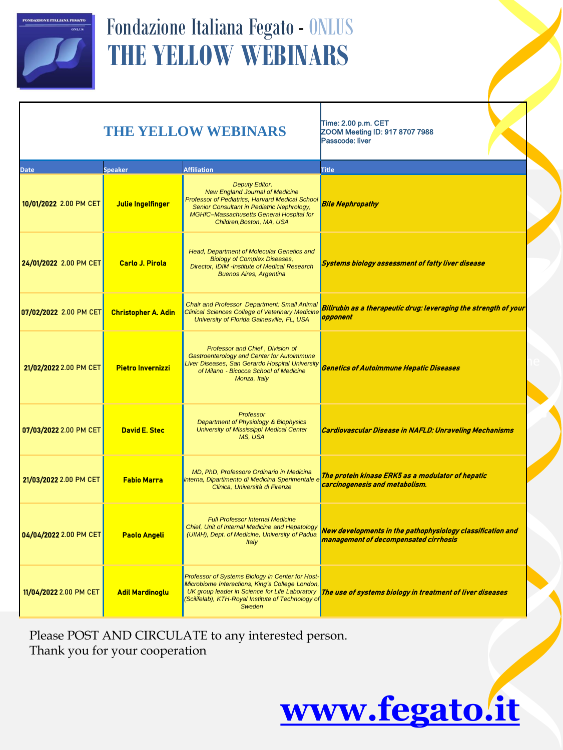

## Fondazione Italiana Fegato - ONLUS **THE YELLOW WEBINARS**

## **THE YELLOW WEBINARS**

Time: 2.00 p.m. CET ZOOM Meeting ID: 917 8707 7988 Passcode: liver

| <b>Date</b>            | <b>Speaker</b>             | <b>Affiliation</b>                                                                                                                                                                                                                 | <b>Title</b>                                                                                        |
|------------------------|----------------------------|------------------------------------------------------------------------------------------------------------------------------------------------------------------------------------------------------------------------------------|-----------------------------------------------------------------------------------------------------|
| 10/01/2022 2.00 PM CET | Julie Ingelfinger          | Deputy Editor,<br><b>New England Journal of Medicine</b><br>Professor of Pediatrics, Harvard Medical School<br>Senior Consultant in Pediatric Nephrology,<br>MGHfC-Massachusetts General Hospital for<br>Children, Boston, MA, USA | <b>Bile Nephropathy</b>                                                                             |
| 24/01/2022 2.00 PM CET | <b>Carlo J. Pirola</b>     | Head, Department of Molecular Genetics and<br><b>Biology of Complex Diseases,</b><br>Director, IDIM -Institute of Medical Research<br><b>Buenos Aires, Argentina</b>                                                               | <b>Systems biology assessment of fatty liver disease</b>                                            |
| 07/02/2022 2.00 PM CET | <b>Christopher A. Adin</b> | Chair and Professor Department: Small Animal<br><b>Clinical Sciences College of Veterinary Medicine</b><br>University of Florida Gainesville, FL, USA                                                                              | Bilirubin as a therapeutic drug: leveraging the strength of your<br>opponent                        |
| 21/02/2022 2.00 PM CET | <b>Pietro Invernizzi</b>   | Professor and Chief, Division of<br><b>Gastroenterology and Center for Autoimmune</b><br>Liver Diseases, San Gerardo Hospital University<br>of Milano - Bicocca School of Medicine<br>Monza, Italy                                 | <b>Genetics of Autoimmune Hepatic Diseases</b>                                                      |
| 07/03/2022 2.00 PM CET | <b>David E. Stec</b>       | Professor<br>Department of Physiology & Biophysics<br>University of Mississippi Medical Center<br>MS, USA                                                                                                                          | <b>Cardiovascular Disease in NAFLD: Unraveling Mechanisms</b>                                       |
| 21/03/2022 2.00 PM CET | <b>Fabio Marra</b>         | MD, PhD, Professore Ordinario in Medicina<br>interna, Dipartimento di Medicina Sperimentale e<br>Clinica, Università di Firenze                                                                                                    | The protein kinase ERK5 as a modulator of hepatic<br>carcinogenesis and metabolism.                 |
| 04/04/2022 2.00 PM CET | <b>Paolo Angeli</b>        | <b>Full Professor Internal Medicine</b><br>Chief, Unit of Internal Medicine and Hepatology<br>(UIMH), Dept. of Medicine, University of Padua<br>Italv                                                                              | New developments in the pathophysiology classification and<br>management of decompensated cirrhosis |
| 11/04/2022 2.00 PM CET | <b>Adil Mardinoglu</b>     | Professor of Systems Biology in Center for Host-<br>Microbiome Interactions, King's College London,<br>UK group leader in Science for Life Laboratory<br>(Scilifelab), KTH-Royal Institute of Technology of<br>Sweden              | The use of systems biology in treatment of liver diseases                                           |

Please POST AND CIRCULATE to any interested person. Thank you for your cooperation